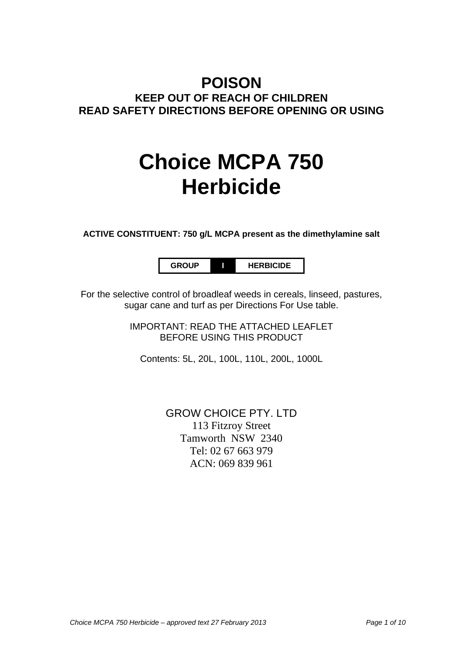## **POISON KEEP OUT OF REACH OF CHILDREN READ SAFETY DIRECTIONS BEFORE OPENING OR USING**

# **Choice MCPA 750 Herbicide**

**ACTIVE CONSTITUENT: 750 g/L MCPA present as the dimethylamine salt**

**GROUP I HERBICIDE**

For the selective control of broadleaf weeds in cereals, linseed, pastures, sugar cane and turf as per Directions For Use table.

> IMPORTANT: READ THE ATTACHED LEAFLET BEFORE USING THIS PRODUCT

Contents: 5L, 20L, 100L, 110L, 200L, 1000L

GROW CHOICE PTY. LTD 113 Fitzroy Street Tamworth NSW 2340 Tel: 02 67 663 979 ACN: 069 839 961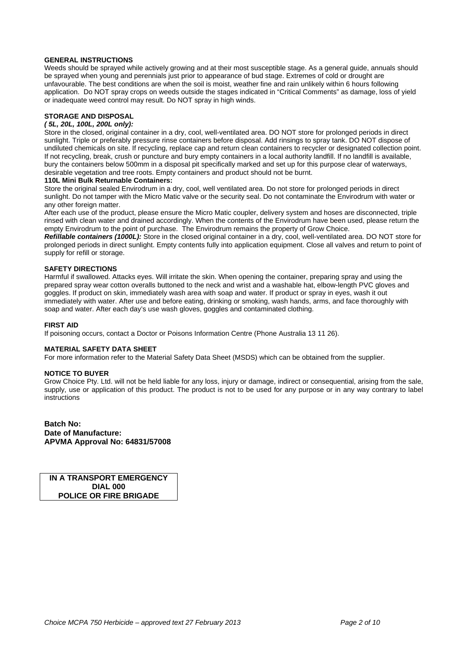#### **GENERAL INSTRUCTIONS**

Weeds should be sprayed while actively growing and at their most susceptible stage. As a general guide, annuals should be sprayed when young and perennials just prior to appearance of bud stage. Extremes of cold or drought are unfavourable. The best conditions are when the soil is moist, weather fine and rain unlikely within 6 hours following application. Do NOT spray crops on weeds outside the stages indicated in "Critical Comments" as damage, loss of yield or inadequate weed control may result. Do NOT spray in high winds.

#### **STORAGE AND DISPOSAL**

#### *( 5L, 20L, 100L, 200L only):*

Store in the closed, original container in a dry, cool, well-ventilated area. DO NOT store for prolonged periods in direct sunlight. Triple or preferably pressure rinse containers before disposal. Add rinsings to spray tank. DO NOT dispose of undiluted chemicals on site. If recycling, replace cap and return clean containers to recycler or designated collection point. If not recycling, break, crush or puncture and bury empty containers in a local authority landfill. If no landfill is available, bury the containers below 500mm in a disposal pit specifically marked and set up for this purpose clear of waterways, desirable vegetation and tree roots. Empty containers and product should not be burnt.

#### **110L Mini Bulk Returnable Containers:**

Store the original sealed Envirodrum in a dry, cool, well ventilated area. Do not store for prolonged periods in direct sunlight. Do not tamper with the Micro Matic valve or the security seal. Do not contaminate the Envirodrum with water or any other foreign matter.

After each use of the product, please ensure the Micro Matic coupler, delivery system and hoses are disconnected, triple rinsed with clean water and drained accordingly. When the contents of the Envirodrum have been used, please return the empty Envirodrum to the point of purchase. The Envirodrum remains the property of Grow Choice.

*Refillable containers (1000L):* Store in the closed original container in a dry, cool, well-ventilated area. DO NOT store for prolonged periods in direct sunlight. Empty contents fully into application equipment. Close all valves and return to point of supply for refill or storage.

#### **SAFETY DIRECTIONS**

Harmful if swallowed. Attacks eyes. Will irritate the skin. When opening the container, preparing spray and using the prepared spray wear cotton overalls buttoned to the neck and wrist and a washable hat, elbow-length PVC gloves and goggles. If product on skin, immediately wash area with soap and water. If product or spray in eyes, wash it out immediately with water. After use and before eating, drinking or smoking, wash hands, arms, and face thoroughly with soap and water. After each day's use wash gloves, goggles and contaminated clothing.

#### **FIRST AID**

If poisoning occurs, contact a Doctor or Poisons Information Centre (Phone Australia 13 11 26).

#### **MATERIAL SAFETY DATA SHEET**

For more information refer to the Material Safety Data Sheet (MSDS) which can be obtained from the supplier.

#### **NOTICE TO BUYER**

Grow Choice Pty. Ltd. will not be held liable for any loss, injury or damage, indirect or consequential, arising from the sale, supply, use or application of this product. The product is not to be used for any purpose or in any way contrary to label instructions

**Batch No: Date of Manufacture: APVMA Approval No: 64831/57008**

**IN A TRANSPORT EMERGENCY DIAL 000 POLICE OR FIRE BRIGADE**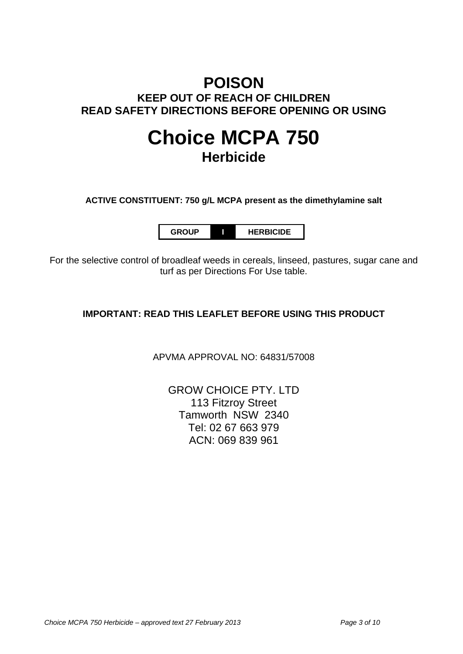## **POISON KEEP OUT OF REACH OF CHILDREN READ SAFETY DIRECTIONS BEFORE OPENING OR USING**

## **Choice MCPA 750 Herbicide**

**ACTIVE CONSTITUENT: 750 g/L MCPA present as the dimethylamine salt**

**GROUP I HERBICIDE**

For the selective control of broadleaf weeds in cereals, linseed, pastures, sugar cane and turf as per Directions For Use table.

### **IMPORTANT: READ THIS LEAFLET BEFORE USING THIS PRODUCT**

APVMA APPROVAL NO: 64831/57008

GROW CHOICE PTY. LTD 113 Fitzroy Street Tamworth NSW 2340 Tel: 02 67 663 979 ACN: 069 839 961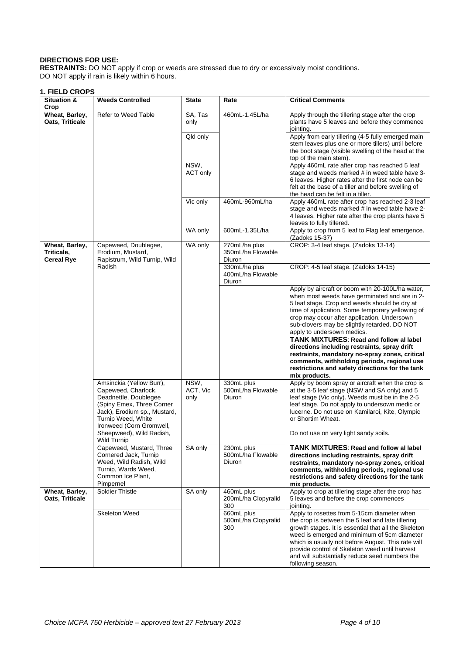#### **DIRECTIONS FOR USE:**

**RESTRAINTS:** DO NOT apply if crop or weeds are stressed due to dry or excessively moist conditions. DO NOT apply if rain is likely within 6 hours.

#### **1. FIELD CROPS**

| <b>Situation &amp;</b><br>Crop                    | <b>Weeds Controlled</b>                                                                                                                                                                                                                   | <b>State</b>             | Rate                                                | <b>Critical Comments</b>                                                                                                                                                                                                                                                                                                                                                                                                                                                                                                                                                                                   |
|---------------------------------------------------|-------------------------------------------------------------------------------------------------------------------------------------------------------------------------------------------------------------------------------------------|--------------------------|-----------------------------------------------------|------------------------------------------------------------------------------------------------------------------------------------------------------------------------------------------------------------------------------------------------------------------------------------------------------------------------------------------------------------------------------------------------------------------------------------------------------------------------------------------------------------------------------------------------------------------------------------------------------------|
| Wheat, Barley,<br>Oats, Triticale                 | Refer to Weed Table                                                                                                                                                                                                                       | SA, Tas<br>only          | 460mL-1.45L/ha                                      | Apply through the tillering stage after the crop<br>plants have 5 leaves and before they commence<br>jointing.                                                                                                                                                                                                                                                                                                                                                                                                                                                                                             |
|                                                   |                                                                                                                                                                                                                                           | Qld only                 |                                                     | Apply from early tillering (4-5 fully emerged main<br>stem leaves plus one or more tillers) until before<br>the boot stage (visible swelling of the head at the<br>top of the main stem).                                                                                                                                                                                                                                                                                                                                                                                                                  |
|                                                   |                                                                                                                                                                                                                                           | NSW,<br>ACT only         |                                                     | Apply 460mL rate after crop has reached 5 leaf<br>stage and weeds marked # in weed table have 3-<br>6 leaves. Higher rates after the first node can be<br>felt at the base of a tiller and before swelling of<br>the head can be felt in a tiller.                                                                                                                                                                                                                                                                                                                                                         |
|                                                   |                                                                                                                                                                                                                                           | Vic only                 | 460mL-960mL/ha                                      | Apply 460mL rate after crop has reached 2-3 leaf<br>stage and weeds marked # in weed table have 2-<br>4 leaves. Higher rate after the crop plants have 5<br>leaves to fully tillered.                                                                                                                                                                                                                                                                                                                                                                                                                      |
|                                                   |                                                                                                                                                                                                                                           | WA only                  | 600mL-1.35L/ha                                      | Apply to crop from 5 leaf to Flag leaf emergence.<br>(Zadoks 15-37)                                                                                                                                                                                                                                                                                                                                                                                                                                                                                                                                        |
| Wheat, Barley,<br>Triticale,<br><b>Cereal Rye</b> | Capeweed, Doublegee,<br>Erodium, Mustard,<br>Rapistrum, Wild Turnip, Wild                                                                                                                                                                 | WA only                  | 270mL/ha plus<br>350mL/ha Flowable<br>Diuron        | CROP: 3-4 leaf stage. (Zadoks 13-14)                                                                                                                                                                                                                                                                                                                                                                                                                                                                                                                                                                       |
|                                                   | Radish                                                                                                                                                                                                                                    |                          | 330mL/ha plus<br>400mL/ha Flowable<br><b>Diuron</b> | CROP: 4-5 leaf stage. (Zadoks 14-15)                                                                                                                                                                                                                                                                                                                                                                                                                                                                                                                                                                       |
|                                                   |                                                                                                                                                                                                                                           |                          |                                                     | Apply by aircraft or boom with 20-100L/ha water,<br>when most weeds have germinated and are in 2-<br>5 leaf stage. Crop and weeds should be dry at<br>time of application. Some temporary yellowing of<br>crop may occur after application. Undersown<br>sub-clovers may be slightly retarded. DO NOT<br>apply to undersown medics.<br><b>TANK MIXTURES: Read and follow al label</b><br>directions including restraints, spray drift<br>restraints, mandatory no-spray zones, critical<br>comments, withholding periods, regional use<br>restrictions and safety directions for the tank<br>mix products. |
|                                                   | Amsinckia (Yellow Burr),<br>Capeweed, Charlock,<br>Deadnettle, Doublegee<br>(Spiny Emex, Three Corner<br>Jack), Erodium sp., Mustard,<br>Turnip Weed, White<br>Ironweed (Corn Gromwell,<br>Sheepweed), Wild Radish,<br><b>Wild Turnip</b> | NSW,<br>ACT, Vic<br>only | 330mL plus<br>500mL/ha Flowable<br>Diuron           | Apply by boom spray or aircraft when the crop is<br>at the 3-5 leaf stage (NSW and SA only) and 5<br>leaf stage (Vic only). Weeds must be in the 2-5<br>leaf stage. Do not apply to undersown medic or<br>lucerne. Do not use on Kamilaroi, Kite, Olympic<br>or Shortim Wheat.<br>Do not use on very light sandy soils.                                                                                                                                                                                                                                                                                    |
|                                                   | Capeweed, Mustard, Three<br>Cornered Jack, Turnip<br>Weed, Wild Radish, Wild<br>Turnip, Wards Weed,<br>Common Ice Plant.<br>Pimpernel                                                                                                     | SA only                  | 230mL plus<br>500mL/ha Flowable<br>Diuron           | TANK MIXTURES: Read and follow al label<br>directions including restraints, spray drift<br>restraints, mandatory no-spray zones, critical<br>comments, withholding periods, regional use<br>restrictions and safety directions for the tank<br>mix products.                                                                                                                                                                                                                                                                                                                                               |
| Wheat, Barley,<br>Oats, Triticale                 | Soldier Thistle                                                                                                                                                                                                                           | SA only                  | 460mL plus<br>200mL/ha Clopyralid<br>300            | Apply to crop at tillering stage after the crop has<br>5 leaves and before the crop commences<br>jointing.                                                                                                                                                                                                                                                                                                                                                                                                                                                                                                 |
|                                                   | Skeleton Weed                                                                                                                                                                                                                             |                          | 660mL plus<br>500mL/ha Clopyralid<br>300            | Apply to rosettes from 5-15cm diameter when<br>the crop is between the 5 leaf and late tillering<br>growth stages. It is essential that all the Skeleton<br>weed is emerged and minimum of 5cm diameter<br>which is usually not before August. This rate will<br>provide control of Skeleton weed until harvest<br>and will substantially reduce seed numbers the<br>following season.                                                                                                                                                                                                                     |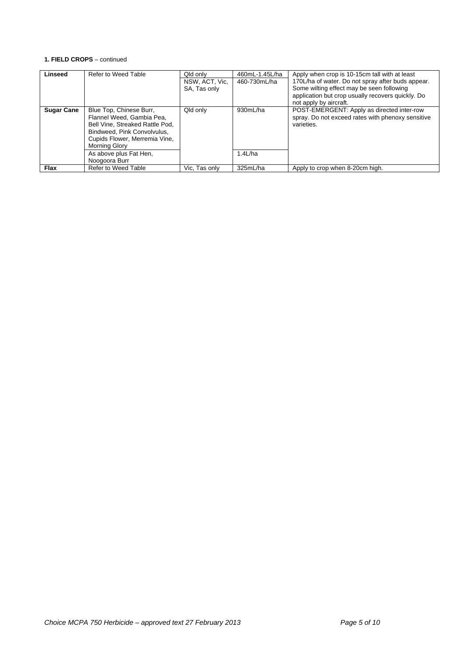#### **1. FIELD CROPS** – continued

| Linseed           | Refer to Weed Table                                                                                                                                                      | Qld only<br>NSW, ACT, Vic.<br>SA, Tas only | 460mL-1.45L/ha<br>460-730mL/ha | Apply when crop is 10-15cm tall with at least<br>170L/ha of water. Do not spray after buds appear.<br>Some wilting effect may be seen following<br>application but crop usually recovers quickly. Do<br>not apply by aircraft. |
|-------------------|--------------------------------------------------------------------------------------------------------------------------------------------------------------------------|--------------------------------------------|--------------------------------|--------------------------------------------------------------------------------------------------------------------------------------------------------------------------------------------------------------------------------|
| <b>Sugar Cane</b> | Blue Top, Chinese Burr,<br>Flannel Weed, Gambia Pea,<br>Bell Vine, Streaked Rattle Pod,<br>Bindweed, Pink Convolvulus,<br>Cupids Flower, Merremia Vine,<br>Morning Glory | Qld only                                   | 930mL/ha                       | POST-EMERGENT: Apply as directed inter-row<br>spray. Do not exceed rates with phenoxy sensitive<br>varieties.                                                                                                                  |
|                   | As above plus Fat Hen,<br>Noogoora Burr                                                                                                                                  |                                            | $1.4$ L/ha                     |                                                                                                                                                                                                                                |
| <b>Flax</b>       | Refer to Weed Table                                                                                                                                                      | Vic, Tas only                              | 325mL/ha                       | Apply to crop when 8-20cm high.                                                                                                                                                                                                |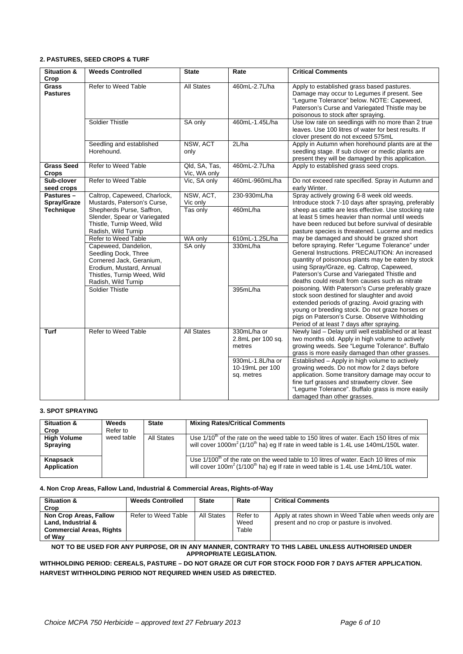#### **2. PASTURES, SEED CROPS & TURF**

| Situation &<br>Crop                          | <b>Weeds Controlled</b>                                                                                                                                    | <b>State</b>                      | Rate                                              | <b>Critical Comments</b>                                                                                                                                                                                                                                                                               |
|----------------------------------------------|------------------------------------------------------------------------------------------------------------------------------------------------------------|-----------------------------------|---------------------------------------------------|--------------------------------------------------------------------------------------------------------------------------------------------------------------------------------------------------------------------------------------------------------------------------------------------------------|
| <b>Grass</b><br><b>Pastures</b>              | Refer to Weed Table                                                                                                                                        | <b>All States</b>                 | 460mL-2.7L/ha                                     | Apply to established grass based pastures.<br>Damage may occur to Legumes if present. See<br>"Legume Tolerance" below. NOTE: Capeweed,<br>Paterson's Curse and Variegated Thistle may be<br>poisonous to stock after spraying.                                                                         |
|                                              | <b>Soldier Thistle</b>                                                                                                                                     | SA only                           | 460mL-1.45L/ha                                    | Use low rate on seedlings with no more than 2 true<br>leaves. Use 100 litres of water for best results. If<br>clover present do not exceed 575mL                                                                                                                                                       |
|                                              | Seedling and established<br>Horehound.                                                                                                                     | NSW, ACT<br>only                  | 2L/ha                                             | Apply in Autumn when horehound plants are at the<br>seedling stage. If sub clover or medic plants are<br>present they will be damaged by this application.                                                                                                                                             |
| <b>Grass Seed</b><br><b>Crops</b>            | Refer to Weed Table                                                                                                                                        | Qld, SA, Tas,<br>Vic, WA only     | 460mL-2.7L/ha                                     | Apply to established grass seed crops.                                                                                                                                                                                                                                                                 |
| Sub-clover<br>seed crops                     | Refer to Weed Table                                                                                                                                        | Vic, SA only                      | 460mL-960mL/ha                                    | Do not exceed rate specified. Spray in Autumn and<br>early Winter.                                                                                                                                                                                                                                     |
| Pastures-<br>Spray/Graze<br><b>Technique</b> | Caltrop, Capeweed, Charlock,<br>Mustards, Paterson's Curse,<br>Shepherds Purse, Saffron,                                                                   | NSW, ACT,<br>Vic only<br>Tas only | 230-930mL/ha<br>460mL/ha                          | Spray actively growing 6-8 week old weeds.<br>Introduce stock 7-10 days after spraying, preferably<br>sheep as cattle are less effective. Use stocking rate                                                                                                                                            |
|                                              | Slender, Spear or Variegated<br>Thistle, Turnip Weed, Wild<br>Radish, Wild Turnip                                                                          |                                   |                                                   | at least 5 times heavier than normal until weeds<br>have been reduced but before survival of desirable<br>pasture species is threatened. Lucerne and medics                                                                                                                                            |
|                                              | Refer to Weed Table                                                                                                                                        | WA only                           | 610mL-1.25L/ha                                    | may be damaged and should be grazed short                                                                                                                                                                                                                                                              |
|                                              | Capeweed, Dandelion,<br>Seedling Dock, Three<br>Cornered Jack, Geranium,<br>Erodium, Mustard, Annual<br>Thistles, Turnip Weed, Wild<br>Radish, Wild Turnip | SA only                           | 330mL/ha                                          | before spraying. Refer "Legume Tolerance" under<br>General Instructions, PRECAUTION: An increased<br>quantity of poisonous plants may be eaten by stock<br>using Spray/Graze, eg. Caltrop, Capeweed,<br>Paterson's Curse and Variegated Thistle and<br>deaths could result from causes such as nitrate |
|                                              | Soldier Thistle                                                                                                                                            |                                   | 395mL/ha                                          | poisoning. With Paterson's Curse preferably graze<br>stock soon destined for slaughter and avoid<br>extended periods of grazing. Avoid grazing with<br>young or breeding stock. Do not graze horses or<br>pigs on Paterson's Curse. Observe Withholding<br>Period of at least 7 days after spraying.   |
| <b>Turf</b>                                  | Refer to Weed Table                                                                                                                                        | <b>All States</b>                 | 330mL/ha or<br>2.8mL per 100 sq.<br>metres        | Newly laid - Delay until well established or at least<br>two months old. Apply in high volume to actively<br>growing weeds. See "Legume Tolerance". Buffalo<br>grass is more easily damaged than other grasses.                                                                                        |
|                                              |                                                                                                                                                            |                                   | 930mL-1.8L/ha or<br>10-19mL per 100<br>sq. metres | Established - Apply in high volume to actively<br>growing weeds. Do not mow for 2 days before<br>application. Some transitory damage may occur to<br>fine turf grasses and strawberry clover. See<br>"Legume Tolerance". Buffalo grass is more easily<br>damaged than other grasses.                   |

#### **3. SPOT SPRAYING**

| <b>Situation &amp;</b><br>Crop | <b>Weeds</b><br>Refer to | <b>State</b> | <b>Mixing Rates/Critical Comments</b>                                                                                                                                                                  |
|--------------------------------|--------------------------|--------------|--------------------------------------------------------------------------------------------------------------------------------------------------------------------------------------------------------|
| <b>High Volume</b><br>Spraying | weed table               | All States   | Use $1/10m$ of the rate on the weed table to 150 litres of water. Each 150 litres of mix<br>will cover 1000 $m^2$ (1/10 <sup>th</sup> ha) eg If rate in weed table is 1.4L use 140mL/150L water.       |
| Knapsack<br>Application        |                          |              | Use $1/100th$ of the rate on the weed table to 10 litres of water. Each 10 litres of mix<br>will cover 100m <sup>2</sup> (1/100 <sup>th</sup> ha) eg If rate in weed table is 1.4L use 14mL/10L water. |

#### **4. Non Crop Areas, Fallow Land, Industrial & Commercial Areas, Rights-of-Way**

| <b>Situation &amp;</b><br>Crop                                                            | <b>Weeds Controlled</b> | <b>State</b> | Rate                      | <b>Critical Comments</b>                                                                              |
|-------------------------------------------------------------------------------------------|-------------------------|--------------|---------------------------|-------------------------------------------------------------------------------------------------------|
| Non Crop Areas, Fallow<br>Land. Industrial &<br><b>Commercial Areas, Rights</b><br>of Wav | Refer to Weed Table     | All States   | Refer to<br>Weed<br>Table | Apply at rates shown in Weed Table when weeds only are<br>present and no crop or pasture is involved. |

**NOT TO BE USED FOR ANY PURPOSE, OR IN ANY MANNER, CONTRARY TO THIS LABEL UNLESS AUTHORISED UNDER APPROPRIATE LEGISLATION.**

**WITHHOLDING PERIOD: CEREALS, PASTURE – DO NOT GRAZE OR CUT FOR STOCK FOOD FOR 7 DAYS AFTER APPLICATION. HARVEST WITHHOLDING PERIOD NOT REQUIRED WHEN USED AS DIRECTED.**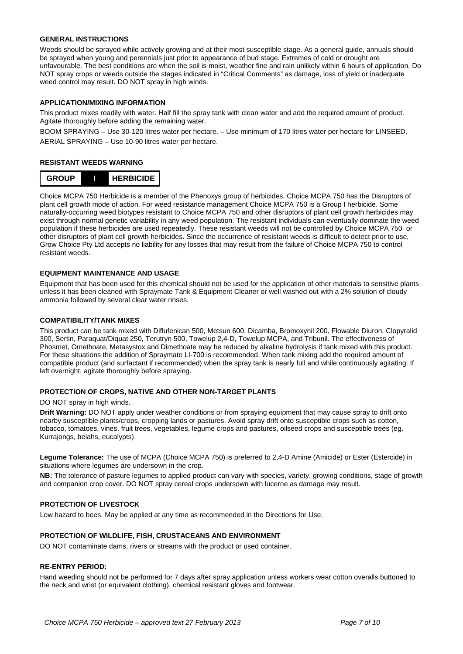#### **GENERAL INSTRUCTIONS**

Weeds should be sprayed while actively growing and at their most susceptible stage. As a general guide, annuals should be sprayed when young and perennials just prior to appearance of bud stage. Extremes of cold or drought are unfavourable. The best conditions are when the soil is moist, weather fine and rain unlikely within 6 hours of application. Do NOT spray crops or weeds outside the stages indicated in "Critical Comments" as damage, loss of yield or inadequate weed control may result. DO NOT spray in high winds.

#### **APPLICATION/MIXING INFORMATION**

This product mixes readily with water. Half fill the spray tank with clean water and add the required amount of product. Agitate thoroughly before adding the remaining water.

BOOM SPRAYING – Use 30-120 litres water per hectare. – Use minimum of 170 litres water per hectare for LINSEED. AERIAL SPRAYING – Use 10-90 litres water per hectare.

#### **RESISTANT WEEDS WARNING**



Choice MCPA 750 Herbicide is a member of the Phenoxys group of herbicides. Choice MCPA 750 has the Disruptors of plant cell growth mode of action. For weed resistance management Choice MCPA 750 is a Group I herbicide. Some naturally-occurring weed biotypes resistant to Choice MCPA 750 and other disruptors of plant cell growth herbicides may exist through normal genetic variability in any weed population. The resistant individuals can eventually dominate the weed population if these herbicides are used repeatedly. These resistant weeds will not be controlled by Choice MCPA 750 or other disruptors of plant cell growth herbicides. Since the occurrence of resistant weeds is difficult to detect prior to use, Grow Choice Pty Ltd accepts no liability for any losses that may result from the failure of Choice MCPA 750 to control resistant weeds.

#### **EQUIPMENT MAINTENANCE AND USAGE**

Equipment that has been used for this chemical should not be used for the application of other materials to sensitive plants unless it has been cleaned with Spraymate Tank & Equipment Cleaner or well washed out with a 2% solution of cloudy ammonia followed by several clear water rinses.

#### **COMPATIBILITY/TANK MIXES**

This product can be tank mixed with Diflufenican 500, Metsun 600, Dicamba, Bromoxynil 200, Flowable Diuron, Clopyralid 300, Sertin, Paraquat/Diquat 250, Terutryn 500, Towelup 2,4-D, Towelup MCPA, and Tribunil. The effectiveness of Phosmet, Omethoate, Metasystox and Dimethoate may be reduced by alkaline hydrolysis if tank mixed with this product. For these situations the addition of Spraymate LI-700 is recommended. When tank mixing add the required amount of compatible product (and surfactant if recommended) when the spray tank is nearly full and while continuously agitating. If left overnight, agitate thoroughly before spraying.

#### **PROTECTION OF CROPS, NATIVE AND OTHER NON-TARGET PLANTS**

DO NOT spray in high winds.

**Drift Warning:** DO NOT apply under weather conditions or from spraying equipment that may cause spray to drift onto nearby susceptible plants/crops, cropping lands or pastures. Avoid spray drift onto susceptible crops such as cotton, tobacco, tomatoes, vines, fruit trees, vegetables, legume crops and pastures, oilseed crops and susceptible trees (eg. Kurrajongs, belahs, eucalypts).

**Legume Tolerance:** The use of MCPA (Choice MCPA 750) is preferred to 2,4-D Amine (Amicide) or Ester (Estercide) in situations where legumes are undersown in the crop.

**NB:** The tolerance of pasture legumes to applied product can vary with species, variety, growing conditions, stage of growth and companion crop cover. DO NOT spray cereal crops undersown with lucerne as damage may result.

#### **PROTECTION OF LIVESTOCK**

Low hazard to bees. May be applied at any time as recommended in the Directions for Use.

#### **PROTECTION OF WILDLIFE, FISH, CRUSTACEANS AND ENVIRONMENT**

DO NOT contaminate dams, rivers or streams with the product or used container.

#### **RE-ENTRY PERIOD:**

Hand weeding should not be performed for 7 days after spray application unless workers wear cotton overalls buttoned to the neck and wrist (or equivalent clothing), chemical resistant gloves and footwear.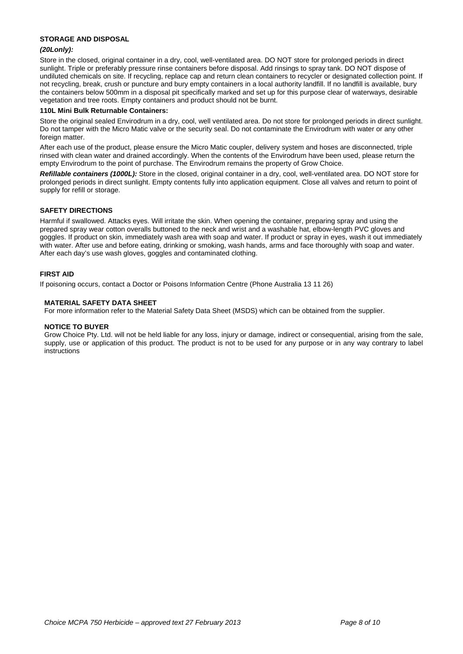#### **STORAGE AND DISPOSAL**

#### *(20Lonly):*

Store in the closed, original container in a dry, cool, well-ventilated area. DO NOT store for prolonged periods in direct sunlight. Triple or preferably pressure rinse containers before disposal. Add rinsings to spray tank. DO NOT dispose of undiluted chemicals on site. If recycling, replace cap and return clean containers to recycler or designated collection point. If not recycling, break, crush or puncture and bury empty containers in a local authority landfill. If no landfill is available, bury the containers below 500mm in a disposal pit specifically marked and set up for this purpose clear of waterways, desirable vegetation and tree roots. Empty containers and product should not be burnt.

#### **110L Mini Bulk Returnable Containers:**

Store the original sealed Envirodrum in a dry, cool, well ventilated area. Do not store for prolonged periods in direct sunlight. Do not tamper with the Micro Matic valve or the security seal. Do not contaminate the Envirodrum with water or any other foreign matter.

After each use of the product, please ensure the Micro Matic coupler, delivery system and hoses are disconnected, triple rinsed with clean water and drained accordingly. When the contents of the Envirodrum have been used, please return the empty Envirodrum to the point of purchase. The Envirodrum remains the property of Grow Choice.

*Refillable containers (1000L):* Store in the closed, original container in a dry, cool, well-ventilated area. DO NOT store for prolonged periods in direct sunlight. Empty contents fully into application equipment. Close all valves and return to point of supply for refill or storage.

#### **SAFETY DIRECTIONS**

Harmful if swallowed. Attacks eyes. Will irritate the skin. When opening the container, preparing spray and using the prepared spray wear cotton overalls buttoned to the neck and wrist and a washable hat, elbow-length PVC gloves and goggles. If product on skin, immediately wash area with soap and water. If product or spray in eyes, wash it out immediately with water. After use and before eating, drinking or smoking, wash hands, arms and face thoroughly with soap and water. After each day's use wash gloves, goggles and contaminated clothing.

#### **FIRST AID**

If poisoning occurs, contact a Doctor or Poisons Information Centre (Phone Australia 13 11 26)

#### **MATERIAL SAFETY DATA SHEET**

For more information refer to the Material Safety Data Sheet (MSDS) which can be obtained from the supplier.

#### **NOTICE TO BUYER**

Grow Choice Pty. Ltd. will not be held liable for any loss, injury or damage, indirect or consequential, arising from the sale, supply, use or application of this product. The product is not to be used for any purpose or in any way contrary to label instructions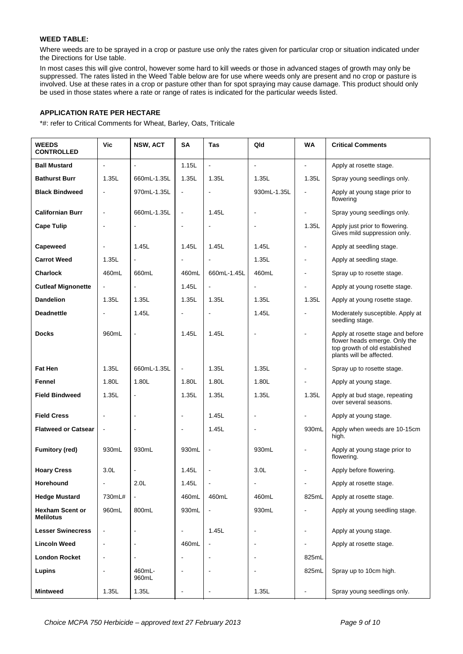#### **WEED TABLE:**

Where weeds are to be sprayed in a crop or pasture use only the rates given for particular crop or situation indicated under the Directions for Use table.

In most cases this will give control, however some hard to kill weeds or those in advanced stages of growth may only be suppressed. The rates listed in the Weed Table below are for use where weeds only are present and no crop or pasture is involved. Use at these rates in a crop or pasture other than for spot spraying may cause damage. This product should only be used in those states where a rate or range of rates is indicated for the particular weeds listed.

#### **APPLICATION RATE PER HECTARE**

\*#: refer to Critical Comments for Wheat, Barley, Oats, Triticale

| <b>WEEDS</b><br><b>CONTROLLED</b>          | Vic                      | NSW, ACT        | <b>SA</b>                | Tas                          | Qld                          | <b>WA</b>      | <b>Critical Comments</b>                                                                                                        |
|--------------------------------------------|--------------------------|-----------------|--------------------------|------------------------------|------------------------------|----------------|---------------------------------------------------------------------------------------------------------------------------------|
| <b>Ball Mustard</b>                        | $\blacksquare$           | ä,              | 1.15L                    | $\overline{a}$               | $\blacksquare$               | $\blacksquare$ | Apply at rosette stage.                                                                                                         |
| <b>Bathurst Burr</b>                       | 1.35L                    | 660mL-1.35L     | 1.35L                    | 1.35L                        | 1.35L                        | 1.35L          | Spray young seedlings only.                                                                                                     |
| <b>Black Bindweed</b>                      | $\blacksquare$           | 970mL-1.35L     | $\overline{\phantom{a}}$ |                              | 930mL-1.35L                  | $\blacksquare$ | Apply at young stage prior to<br>flowering                                                                                      |
| <b>Californian Burr</b>                    | $\blacksquare$           | 660mL-1.35L     | $\blacksquare$           | 1.45L                        | $\blacksquare$               | $\blacksquare$ | Spray young seedlings only.                                                                                                     |
| <b>Cape Tulip</b>                          | $\blacksquare$           | ä,              | ä,                       | $\overline{a}$               | $\overline{a}$               | 1.35L          | Apply just prior to flowering.<br>Gives mild suppression only.                                                                  |
| Capeweed                                   | $\blacksquare$           | 1.45L           | 1.45L                    | 1.45L                        | 1.45L                        | $\blacksquare$ | Apply at seedling stage.                                                                                                        |
| <b>Carrot Weed</b>                         | 1.35L                    | ÷,              | $\blacksquare$           | $\overline{a}$               | 1.35L                        | $\blacksquare$ | Apply at seedling stage.                                                                                                        |
| <b>Charlock</b>                            | 460mL                    | 660mL           | 460mL                    | 660mL-1.45L                  | 460mL                        | $\blacksquare$ | Spray up to rosette stage.                                                                                                      |
| <b>Cutleaf Mignonette</b>                  | $\blacksquare$           | L.              | 1.45L                    | $\overline{a}$               | $\overline{a}$               | ÷,             | Apply at young rosette stage.                                                                                                   |
| <b>Dandelion</b>                           | 1.35L                    | 1.35L           | 1.35L                    | 1.35L                        | 1.35L                        | 1.35L          | Apply at young rosette stage.                                                                                                   |
| <b>Deadnettle</b>                          |                          | 1.45L           | L.                       | L.                           | 1.45L                        | $\overline{a}$ | Moderately susceptible. Apply at<br>seedling stage.                                                                             |
| <b>Docks</b>                               | 960mL                    |                 | 1.45L                    | 1.45L                        |                              | $\mathbf{r}$   | Apply at rosette stage and before<br>flower heads emerge. Only the<br>top growth of old established<br>plants will be affected. |
| <b>Fat Hen</b>                             | 1.35L                    | 660mL-1.35L     | $\blacksquare$           | 1.35L                        | 1.35L                        | $\blacksquare$ | Spray up to rosette stage.                                                                                                      |
| Fennel                                     | 1.80L                    | 1.80L           | 1.80L                    | 1.80L                        | 1.80L                        | $\overline{a}$ | Apply at young stage.                                                                                                           |
| <b>Field Bindweed</b>                      | 1.35L                    | ÷,              | 1.35L                    | 1.35L                        | 1.35L                        | 1.35L          | Apply at bud stage, repeating<br>over several seasons.                                                                          |
| <b>Field Cress</b>                         |                          | ÷,              | $\blacksquare$           | 1.45L                        |                              |                | Apply at young stage.                                                                                                           |
| <b>Flatweed or Catsear</b>                 | $\blacksquare$           |                 | $\blacksquare$           | 1.45L                        | $\qquad \qquad \blacksquare$ | 930mL          | Apply when weeds are 10-15cm<br>high.                                                                                           |
| <b>Fumitory (red)</b>                      | 930mL                    | 930mL           | 930mL                    | $\blacksquare$               | 930mL                        | $\overline{a}$ | Apply at young stage prior to<br>flowering.                                                                                     |
| <b>Hoary Cress</b>                         | 3.0 <sub>L</sub>         |                 | 1.45L                    | $\blacksquare$               | 3.0 <sub>L</sub>             |                | Apply before flowering.                                                                                                         |
| <b>Horehound</b>                           | -                        | 2.0L            | 1.45L                    |                              |                              |                | Apply at rosette stage.                                                                                                         |
| <b>Hedge Mustard</b>                       | 730mL#                   |                 | 460mL                    | 460mL                        | 460mL                        | 825mL          | Apply at rosette stage.                                                                                                         |
| <b>Hexham Scent or</b><br><b>Melilotus</b> | 960mL                    | 800mL           | 930mL                    | $\qquad \qquad \blacksquare$ | 930mL                        |                | Apply at young seedling stage.                                                                                                  |
| <b>Lesser Swinecress</b>                   |                          |                 | -                        | 1.45L                        | $\qquad \qquad \blacksquare$ | $\blacksquare$ | Apply at young stage.                                                                                                           |
| <b>Lincoln Weed</b>                        | $\overline{\phantom{a}}$ |                 | 460mL                    | $\blacksquare$               | $\overline{\phantom{a}}$     | $\blacksquare$ | Apply at rosette stage.                                                                                                         |
| <b>London Rocket</b>                       | $\overline{\phantom{a}}$ |                 |                          |                              |                              | 825mL          |                                                                                                                                 |
| Lupins                                     |                          | 460mL-<br>960mL |                          | -                            |                              | 825mL          | Spray up to 10cm high.                                                                                                          |
| <b>Mintweed</b>                            | 1.35L                    | 1.35L           | $\overline{a}$           |                              | 1.35L                        |                | Spray young seedlings only.                                                                                                     |